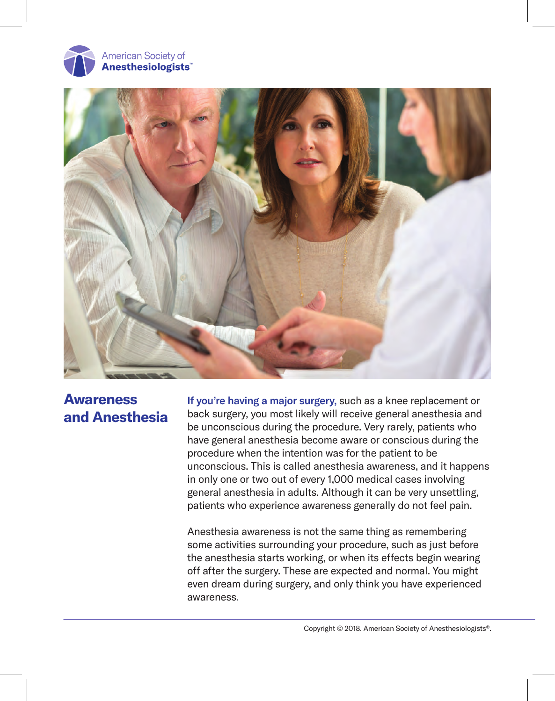



# **Awareness and Anesthesia**

If you're having a major surgery, such as a knee replacement or back surgery, you most likely will receive general anesthesia and be unconscious during the procedure. Very rarely, patients who have general anesthesia become aware or conscious during the procedure when the intention was for the patient to be unconscious. This is called anesthesia awareness, and it happens in only one or two out of every 1,000 medical cases involving general anesthesia in adults. Although it can be very unsettling, patients who experience awareness generally do not feel pain.

Anesthesia awareness is not the same thing as remembering some activities surrounding your procedure, such as just before the anesthesia starts working, or when its effects begin wearing off after the surgery. These are expected and normal. You might even dream during surgery, and only think you have experienced awareness.